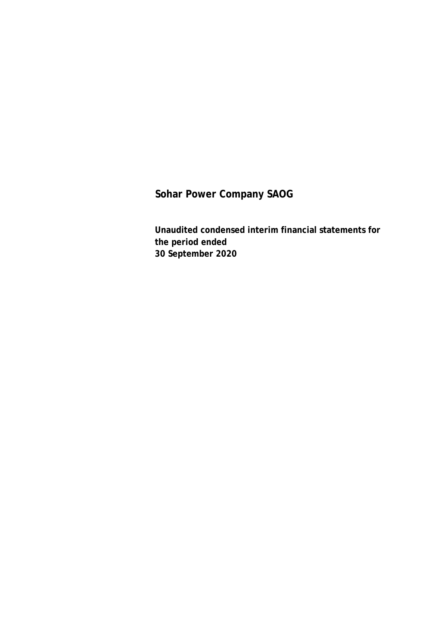**Unaudited condensed interim financial statements for the period ended 30 September 2020**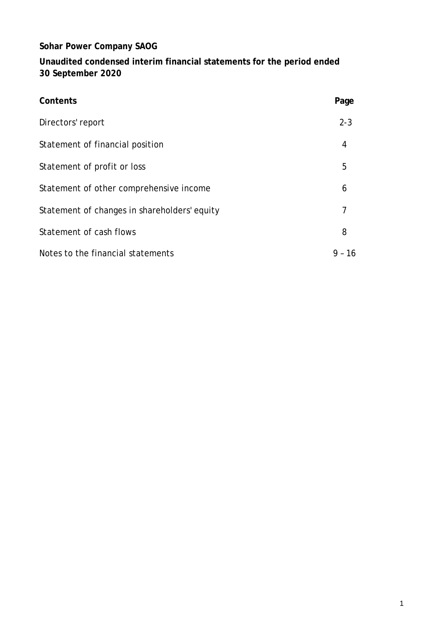**Unaudited condensed interim financial statements for the period ended 30 September 2020**

| Contents                                     | Page         |
|----------------------------------------------|--------------|
| Directors' report                            | $2 - 3$      |
| Statement of financial position              | 4            |
| Statement of profit or loss                  | 5            |
| Statement of other comprehensive income      | 6            |
| Statement of changes in shareholders' equity | 7            |
| Statement of cash flows                      | 8            |
| Notes to the financial statements            | $9 -$<br>-16 |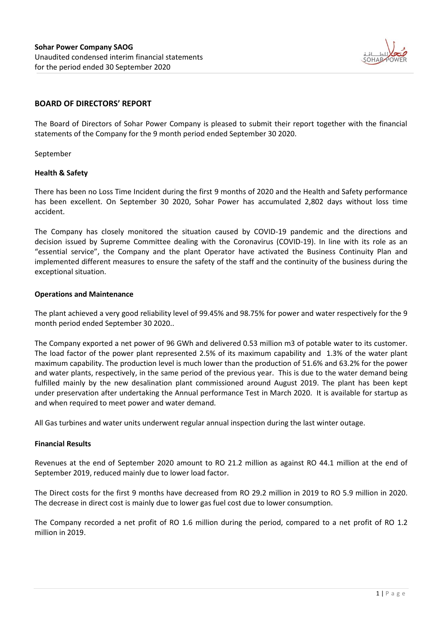

### **BOARD OF DIRECTORS' REPORT**

The Board of Directors of Sohar Power Company is pleased to submit their report together with the financial statements of the Company for the 9 month period ended September 30 2020.

September

#### **Health & Safety**

There has been no Loss Time Incident during the first 9 months of 2020 and the Health and Safety performance has been excellent. On September 30 2020, Sohar Power has accumulated 2,802 days without loss time accident.

The Company has closely monitored the situation caused by COVID-19 pandemic and the directions and decision issued by Supreme Committee dealing with the Coronavirus (COVID-19). In line with its role as an "essential service", the Company and the plant Operator have activated the Business Continuity Plan and implemented different measures to ensure the safety of the staff and the continuity of the business during the exceptional situation.

#### **Operations and Maintenance**

The plant achieved a very good reliability level of 99.45% and 98.75% for power and water respectively for the 9 month period ended September 30 2020..

The Company exported a net power of 96 GWh and delivered 0.53 million m3 of potable water to its customer. The load factor of the power plant represented 2.5% of its maximum capability and 1.3% of the water plant maximum capability. The production level is much lower than the production of 51.6% and 63.2% for the power and water plants, respectively, in the same period of the previous year. This is due to the water demand being fulfilled mainly by the new desalination plant commissioned around August 2019. The plant has been kept under preservation after undertaking the Annual performance Test in March 2020. It is available for startup as and when required to meet power and water demand.

All Gas turbines and water units underwent regular annual inspection during the last winter outage.

#### **Financial Results**

Revenues at the end of September 2020 amount to RO 21.2 million as against RO 44.1 million at the end of September 2019, reduced mainly due to lower load factor.

The Direct costs for the first 9 months have decreased from RO 29.2 million in 2019 to RO 5.9 million in 2020. The decrease in direct cost is mainly due to lower gas fuel cost due to lower consumption.

The Company recorded a net profit of RO 1.6 million during the period, compared to a net profit of RO 1.2 million in 2019.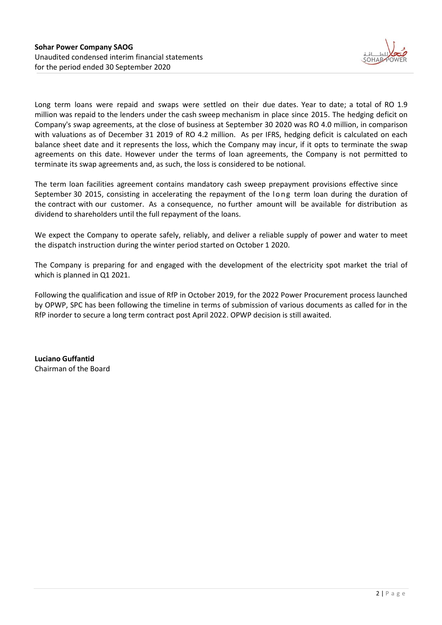

Long term loans were repaid and swaps were settled on their due dates. Year to date; a total of RO 1.9 million was repaid to the lenders under the cash sweep mechanism in place since 2015. The hedging deficit on Company's swap agreements, at the close of business at September 30 2020 was RO 4.0 million, in comparison with valuations as of December 31 2019 of RO 4.2 million. As per IFRS, hedging deficit is calculated on each balance sheet date and it represents the loss, which the Company may incur, if it opts to terminate the swap agreements on this date. However under the terms of loan agreements, the Company is not permitted to terminate its swap agreements and, as such, the loss is considered to be notional.

The term loan facilities agreement contains mandatory cash sweep prepayment provisions effective since September 30 2015, consisting in accelerating the repayment of the long term loan during the duration of the contract with our customer. As a consequence, no further amount will be available for distribution as dividend to shareholders until the full repayment of the loans.

We expect the Company to operate safely, reliably, and deliver a reliable supply of power and water to meet the dispatch instruction during the winter period started on October 1 2020.

The Company is preparing for and engaged with the development of the electricity spot market the trial of which is planned in Q1 2021.

Following the qualification and issue of RfP in October 2019, for the 2022 Power Procurement process launched by OPWP, SPC has been following the timeline in terms of submission of various documents as called for in the RfP inorder to secure a long term contract post April 2022. OPWP decision is still awaited.

**Luciano Guffantid** Chairman of the Board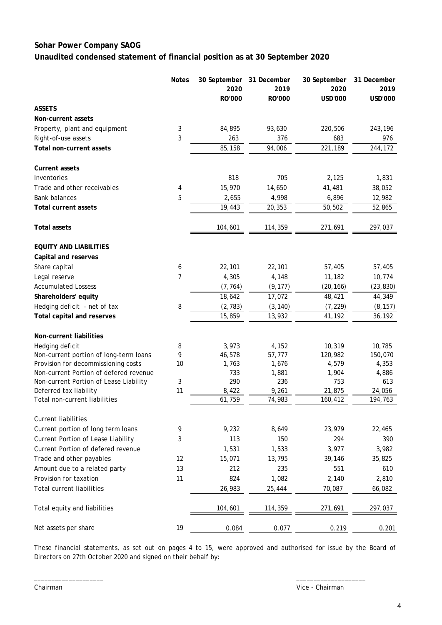### **Sohar Power Company SAOG Unaudited condensed statement of financial position as at 30 September 2020**

|                                                         | <b>Notes</b> | 30 September<br>2020 | 31 December<br>2019 | 30 September<br>2020 | 31 December<br>2019 |
|---------------------------------------------------------|--------------|----------------------|---------------------|----------------------|---------------------|
|                                                         |              | RO'000               | RO'000              | USD'000              | USD'000             |
| <b>ASSETS</b>                                           |              |                      |                     |                      |                     |
| Non-current assets                                      |              |                      |                     |                      |                     |
| Property, plant and equipment                           | 3            | 84,895               | 93,630              | 220,506              | 243,196             |
| Right-of-use assets                                     | 3            | 263                  | 376                 | 683                  | 976                 |
| Total non-current assets                                |              | 85,158               | 94,006              | 221,189              | 244,172             |
| <b>Current assets</b>                                   |              |                      |                     |                      |                     |
| Inventories                                             |              | 818                  | 705                 | 2,125                | 1,831               |
| Trade and other receivables                             | 4            | 15,970               | 14,650              | 41,481               | 38,052              |
| <b>Bank balances</b>                                    | 5            | 2,655                | 4,998               | 6,896                | 12,982              |
| <b>Total current assets</b>                             |              | 19,443               | 20,353              | 50,502               | 52,865              |
| <b>Total assets</b>                                     |              | 104,601              | 114,359             | 271,691              | 297,037             |
| <b>EQUITY AND LIABILITIES</b>                           |              |                      |                     |                      |                     |
| Capital and reserves                                    |              |                      |                     |                      |                     |
| Share capital                                           | 6            | 22,101               | 22,101              | 57,405               | 57,405              |
| Legal reserve                                           | 7            | 4,305                | 4,148               | 11,182               | 10,774              |
| <b>Accumulated Lossess</b>                              |              | (7, 764)             | (9, 177)            | (20, 166)            | (23, 830)           |
| Shareholders' equity                                    |              | 18,642               | 17,072              | 48,421               | 44,349              |
| Hedging deficit - net of tax                            | 8            | (2, 783)             | (3, 140)            | (7, 229)             | (8, 157)            |
| Total capital and reserves                              |              | 15,859               | 13,932              | 41,192               | 36,192              |
| Non-current liabilities                                 |              |                      |                     |                      |                     |
| Hedging deficit                                         | 8            | 3,973                | 4,152               | 10,319               | 10,785              |
| Non-current portion of long-term loans                  | 9            | 46,578               | 57,777              | 120,982              | 150,070             |
| Provision for decommissioning costs                     | 10           | 1,763                | 1,676               | 4,579                | 4,353               |
| Non-current Portion of defered revenue                  |              | 733                  | 1,881               | 1,904                | 4,886               |
| Non-current Portion of Lease Liability                  | 3            | 290                  | 236<br>9,261        | 753                  | 613                 |
| Deferred tax liability<br>Total non-current liabilities | 11           | 8,422<br>61,759      | 74,983              | 21,875<br>160,412    | 24,056<br>194,763   |
| <b>Current liabilities</b>                              |              |                      |                     |                      |                     |
| Current portion of long term loans                      | 9            | 9,232                | 8,649               | 23,979               | 22,465              |
| Current Portion of Lease Liability                      | 3            | 113                  | 150                 | 294                  | 390                 |
| Current Portion of defered revenue                      |              | 1,531                | 1,533               | 3,977                | 3,982               |
| Trade and other payables                                | 12           | 15,071               | 13,795              | 39,146               | 35,825              |
| Amount due to a related party                           | 13           | 212                  | 235                 | 551                  | 610                 |
| Provision for taxation                                  | 11           | 824                  | 1,082               | 2,140                | 2,810               |
| <b>Total current liabilities</b>                        |              | 26,983               | 25,444              | 70,087               | 66,082              |
| Total equity and liabilities                            |              | 104,601              | 114,359             | 271,691              | 297,037             |
| Net assets per share                                    | 19           | 0.084                | 0.077               | 0.219                | 0.201               |

These financial statements, as set out on pages 4 to 15, were approved and authorised for issue by the Board of Directors on 27th October 2020 and signed on their behalf by:

 $\frac{1}{2}$  ,  $\frac{1}{2}$  ,  $\frac{1}{2}$  ,  $\frac{1}{2}$  ,  $\frac{1}{2}$  ,  $\frac{1}{2}$  ,  $\frac{1}{2}$  ,  $\frac{1}{2}$  ,  $\frac{1}{2}$  ,  $\frac{1}{2}$  ,  $\frac{1}{2}$  ,  $\frac{1}{2}$  ,  $\frac{1}{2}$  ,  $\frac{1}{2}$  ,  $\frac{1}{2}$  ,  $\frac{1}{2}$  ,  $\frac{1}{2}$  ,  $\frac{1}{2}$  ,  $\frac{1$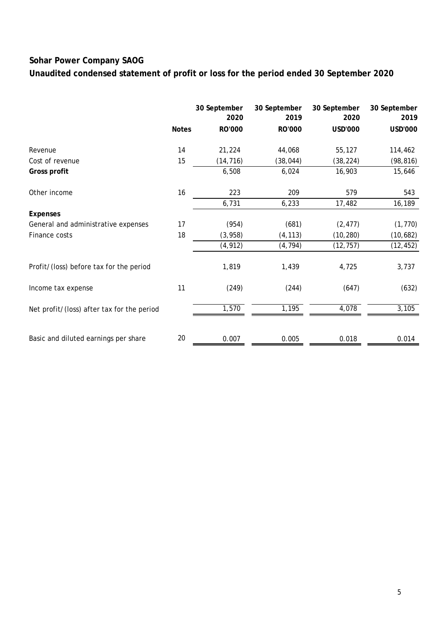**Unaudited condensed statement of profit or loss for the period ended 30 September 2020**

|                                            |              | 30 September<br>2020 | 30 September<br>2019 | 30 September<br>2020 | 30 September<br>2019 |
|--------------------------------------------|--------------|----------------------|----------------------|----------------------|----------------------|
|                                            | <b>Notes</b> | RO'000               | RO'000               | USD'000              | <b>USD'000</b>       |
| Revenue                                    | 14           | 21,224               | 44,068               | 55,127               | 114,462              |
| Cost of revenue                            | 15           | (14, 716)            | (38, 044)            | (38, 224)            | (98, 816)            |
| Gross profit                               |              | 6,508                | 6,024                | 16,903               | 15,646               |
| Other income                               | 16           | 223                  | 209                  | 579                  | 543                  |
|                                            |              | 6,731                | 6,233                | 17,482               | 16,189               |
| <b>Expenses</b>                            |              |                      |                      |                      |                      |
| General and administrative expenses        | 17           | (954)                | (681)                | (2, 477)             | (1, 770)             |
| Finance costs                              | 18           | (3, 958)             | (4, 113)             | (10, 280)            | (10,682)             |
|                                            |              | (4, 912)             | (4, 794)             | (12, 757)            | (12, 452)            |
| Profit/(loss) before tax for the period    |              | 1,819                | 1,439                | 4,725                | 3,737                |
| Income tax expense                         | 11           | (249)                | (244)                | (647)                | (632)                |
| Net profit/(loss) after tax for the period |              | 1,570                | 1,195                | 4,078                | 3,105                |
|                                            |              |                      |                      |                      |                      |
| Basic and diluted earnings per share       | 20           | 0.007                | 0.005                | 0.018                | 0.014                |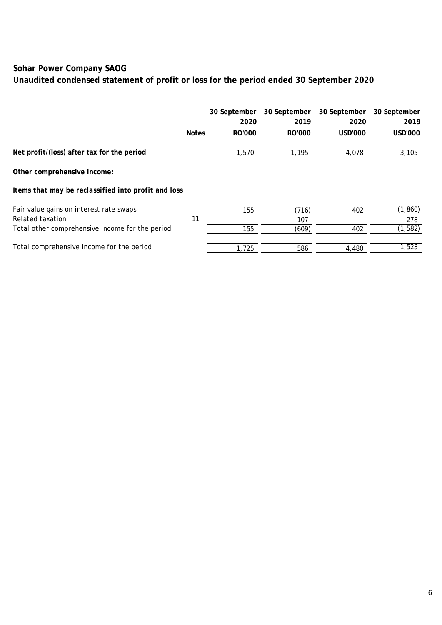# **Unaudited condensed statement of profit or loss for the period ended 30 September 2020**

|                                                     |              | 30 September<br>2020 | 30 September<br>2019 | 30 September<br>2020 | 30 September<br>2019 |
|-----------------------------------------------------|--------------|----------------------|----------------------|----------------------|----------------------|
|                                                     | <b>Notes</b> | <b>RO'000</b>        | RO'000               | <b>USD'000</b>       | USD'000              |
| Net profit/(loss) after tax for the period          |              | 1,570                | 1,195                | 4,078                | 3,105                |
| Other comprehensive income:                         |              |                      |                      |                      |                      |
| Items that may be reclassified into profit and loss |              |                      |                      |                      |                      |
| Fair value gains on interest rate swaps             |              | 155                  | (716)                | 402                  | (1, 860)             |
| Related taxation                                    | 11           |                      | 107                  | -                    | 278                  |
| Total other comprehensive income for the period     |              | 155                  | (609)                | 402                  | (1, 582)             |
| Total comprehensive income for the period           |              | 1,725                | 586                  | 4,480                | 1,523                |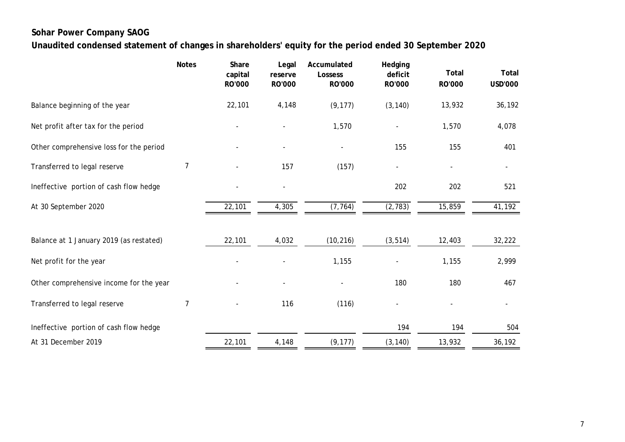**Unaudited condensed statement of changes in shareholders' equity for the period ended 30 September 2020**

|                                         | <b>Notes</b> | Share             | Legal             | Accumulated<br>Lossess   | Hedging<br>deficit | <b>Total</b> | Total                    |
|-----------------------------------------|--------------|-------------------|-------------------|--------------------------|--------------------|--------------|--------------------------|
|                                         |              | capital<br>RO'000 | reserve<br>RO'000 | RO'000                   | RO'000             | RO'000       | <b>USD'000</b>           |
| Balance beginning of the year           |              | 22,101            | 4,148             | (9, 177)                 | (3, 140)           | 13,932       | 36,192                   |
| Net profit after tax for the period     |              |                   |                   | 1,570                    |                    | 1,570        | 4,078                    |
| Other comprehensive loss for the period |              |                   |                   | $\overline{\phantom{a}}$ | 155                | 155          | 401                      |
| Transferred to legal reserve            | 7            |                   | 157               | (157)                    |                    |              |                          |
| Ineffective portion of cash flow hedge  |              |                   |                   |                          | 202                | 202          | 521                      |
| At 30 September 2020                    |              | 22,101            | 4,305             | (7, 764)                 | (2, 783)           | 15,859       | 41,192                   |
|                                         |              |                   |                   |                          |                    |              |                          |
| Balance at 1 January 2019 (as restated) |              | 22,101            | 4,032             | (10, 216)                | (3, 514)           | 12,403       | 32,222                   |
| Net profit for the year                 |              |                   |                   | 1,155                    |                    | 1,155        | 2,999                    |
| Other comprehensive income for the year |              |                   |                   |                          | 180                | 180          | 467                      |
| Transferred to legal reserve            | 7            |                   | 116               | (116)                    |                    |              | $\overline{\phantom{a}}$ |
| Ineffective portion of cash flow hedge  |              |                   |                   |                          | 194                | 194          | 504                      |
| At 31 December 2019                     |              | 22,101            | 4,148             | (9, 177)                 | (3, 140)           | 13,932       | 36,192                   |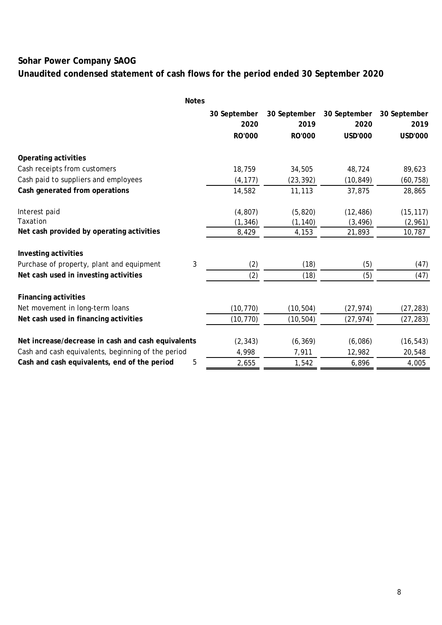# **Unaudited condensed statement of cash flows for the period ended 30 September 2020**

|                                                    | <b>Notes</b> |              |              |                |              |
|----------------------------------------------------|--------------|--------------|--------------|----------------|--------------|
|                                                    |              | 30 September | 30 September | 30 September   | 30 September |
|                                                    |              | 2020         | 2019         | 2020           | 2019         |
|                                                    |              | RO'000       | RO'000       | <b>USD'000</b> | USD'000      |
| Operating activities                               |              |              |              |                |              |
| Cash receipts from customers                       |              | 18,759       | 34,505       | 48,724         | 89,623       |
| Cash paid to suppliers and employees               |              | (4, 177)     | (23, 392)    | (10, 849)      | (60, 758)    |
| Cash generated from operations                     |              | 14,582       | 11,113       | 37,875         | 28,865       |
| Interest paid                                      |              | (4, 807)     | (5, 820)     | (12, 486)      | (15, 117)    |
| Taxation                                           |              | (1, 346)     | (1, 140)     | (3, 496)       | (2,961)      |
| Net cash provided by operating activities          |              | 8,429        | 4,153        | 21,893         | 10,787       |
| Investing activities                               |              |              |              |                |              |
| Purchase of property, plant and equipment          | 3            | (2)          | (18)         | (5)            | (47)         |
| Net cash used in investing activities              |              | (2)          | (18)         | (5)            | (47)         |
| <b>Financing activities</b>                        |              |              |              |                |              |
| Net movement in long-term loans                    |              | (10, 770)    | (10, 504)    | (27, 974)      | (27, 283)    |
| Net cash used in financing activities              |              | (10, 770)    | (10, 504)    | (27, 974)      | (27, 283)    |
| Net increase/decrease in cash and cash equivalents |              | (2, 343)     | (6, 369)     | (6,086)        | (16, 543)    |
| Cash and cash equivalents, beginning of the period |              | 4,998        | 7,911        | 12,982         | 20,548       |
| Cash and cash equivalents, end of the period       | 5            | 2,655        | 1,542        | 6,896          | 4,005        |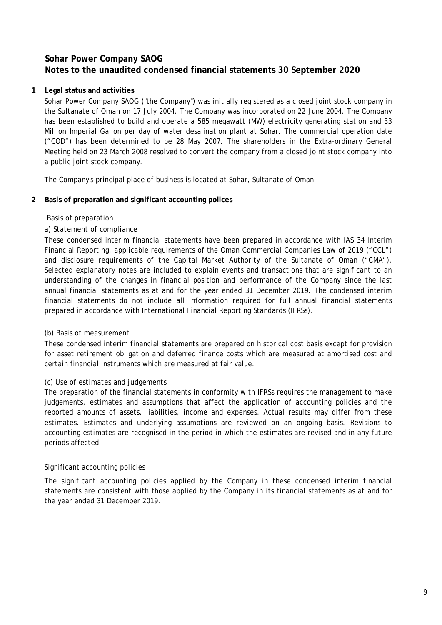### **1 Legal status and activities**

Sohar Power Company SAOG ("the Company") was initially registered as a closed joint stock company in the Sultanate of Oman on 17 July 2004. The Company was incorporated on 22 June 2004. The Company has been established to build and operate a 585 megawatt (MW) electricity generating station and 33 Million Imperial Gallon per day of water desalination plant at Sohar. The commercial operation date ("COD") has been determined to be 28 May 2007. The shareholders in the Extra-ordinary General Meeting held on 23 March 2008 resolved to convert the company from a closed joint stock company into a public joint stock company.

The Company's principal place of business is located at Sohar, Sultanate of Oman.

### **2 Basis of preparation and significant accounting polices**

### Basis of preparation

### *a) Statement of compliance*

These condensed interim financial statements have been prepared in accordance with IAS 34 Interim Financial Reporting, applicable requirements of the Oman Commercial Companies Law of 2019 ("CCL") and disclosure requirements of the Capital Market Authority of the Sultanate of Oman ("CMA"). Selected explanatory notes are included to explain events and transactions that are significant to an understanding of the changes in financial position and performance of the Company since the last annual financial statements as at and for the year ended 31 December 2019. The condensed interim financial statements do not include all information required for full annual financial statements prepared in accordance with International Financial Reporting Standards (IFRSs).

### *(b) Basis of measurement*

These condensed interim financial statements are prepared on historical cost basis except for provision for asset retirement obligation and deferred finance costs which are measured at amortised cost and certain financial instruments which are measured at fair value.

### *(c) Use of estimates and judgements*

The preparation of the financial statements in conformity with IFRSs requires the management to make judgements, estimates and assumptions that affect the application of accounting policies and the reported amounts of assets, liabilities, income and expenses. Actual results may differ from these estimates. Estimates and underlying assumptions are reviewed on an ongoing basis. Revisions to accounting estimates are recognised in the period in which the estimates are revised and in any future periods affected.

### Significant accounting policies

The significant accounting policies applied by the Company in these condensed interim financial statements are consistent with those applied by the Company in its financial statements as at and for the year ended 31 December 2019.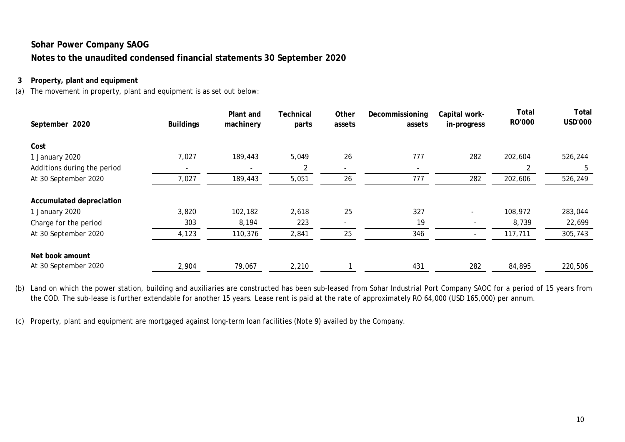### **3 Property, plant and equipment**

(a) The movement in property, plant and equipment is as set out below:

| September 2020              | <b>Buildings</b> | Plant and<br>machinery | Technical<br>parts | Other<br>assets | Decommissioning<br>assets | Capital work-<br>in-progress | Total<br>RO'000 | Total<br><b>USD'000</b> |
|-----------------------------|------------------|------------------------|--------------------|-----------------|---------------------------|------------------------------|-----------------|-------------------------|
| Cost                        |                  |                        |                    |                 |                           |                              |                 |                         |
| 1 January 2020              | 7,027            | 189,443                | 5,049              | 26              | 777                       | 282                          | 202,604         | 526,244                 |
| Additions during the period |                  |                        | 2                  | ۰               | $\overline{\phantom{a}}$  |                              | 2               | 5                       |
| At 30 September 2020        | 7,027            | 189,443                | 5,051              | 26              | 777                       | 282                          | 202,606         | 526,249                 |
| Accumulated depreciation    |                  |                        |                    |                 |                           |                              |                 |                         |
| 1 January 2020              | 3,820            | 102,182                | 2,618              | 25              | 327                       |                              | 108,972         | 283,044                 |
| Charge for the period       | 303              | 8,194                  | 223                |                 | 19                        | $\overline{\phantom{a}}$     | 8,739           | 22,699                  |
| At 30 September 2020        | 4,123            | 110,376                | 2,841              | 25              | 346                       | $\overline{a}$               | 117,711         | 305,743                 |
| Net book amount             |                  |                        |                    |                 |                           |                              |                 |                         |
| At 30 September 2020        | 2,904            | 79,067                 | 2,210              |                 | 431                       | 282                          | 84,895          | 220,506                 |

(b) Land on which the power station, building and auxiliaries are constructed has been sub-leased from Sohar Industrial Port Company SAOC for a period of 15 years from the COD. The sub-lease is further extendable for another 15 years. Lease rent is paid at the rate of approximately RO 64,000 (USD 165,000) per annum.

(c) Property, plant and equipment are mortgaged against long-term loan facilities (Note 9) availed by the Company.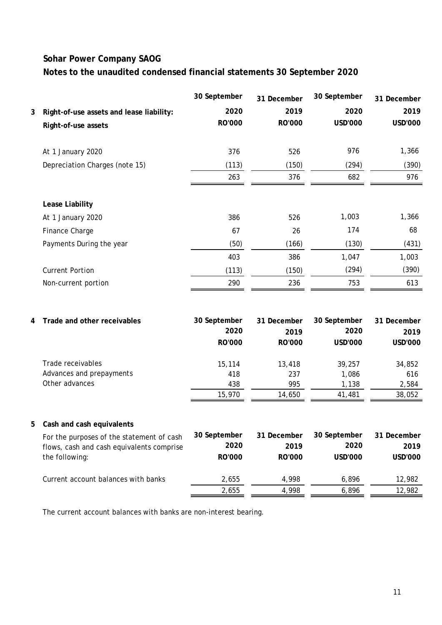|   |                                           | 30 September | 31 December | 30 September   | 31 December    |
|---|-------------------------------------------|--------------|-------------|----------------|----------------|
| 3 | Right-of-use assets and lease liability:  | 2020         | 2019        | 2020           | 2019           |
|   | Right-of-use assets                       | RO'000       | RO'000      | USD'000        | <b>USD'000</b> |
|   | At 1 January 2020                         | 376          | 526         | 976            | 1,366          |
|   | Depreciation Charges (note 15)            | (113)        | (150)       | (294)          | (390)          |
|   |                                           | 263          | 376         | 682            | 976            |
|   | Lease Liability                           |              |             |                |                |
|   | At 1 January 2020                         | 386          | 526         | 1,003          | 1,366          |
|   | Finance Charge                            | 67           | 26          | 174            | 68             |
|   | Payments During the year                  | (50)         | (166)       | (130)          | (431)          |
|   |                                           | 403          | 386         | 1,047          | 1,003          |
|   | <b>Current Portion</b>                    | (113)        | (150)       | (294)          | (390)          |
|   | Non-current portion                       | 290          | 236         | 753            | 613            |
|   |                                           |              |             |                |                |
| 4 | Trade and other receivables               | 30 September | 31 December | 30 September   | 31 December    |
|   |                                           | 2020         | 2019        | 2020           | 2019           |
|   |                                           | RO'000       | RO'000      | <b>USD'000</b> | <b>USD'000</b> |
|   | Trade receivables                         | 15,114       | 13,418      | 39,257         | 34,852         |
|   | Advances and prepayments                  | 418          | 237         | 1,086          | 616            |
|   | Other advances                            | 438          | 995         | 1,138          | 2,584          |
|   |                                           | 15,970       | 14,650      | 41,481         | 38,052         |
| 5 | Cash and cash equivalents                 |              |             |                |                |
|   | For the purposes of the statement of cash | 30 September | 31 December | 30 September   | 31 December    |
|   | flows, cash and cash equivalents comprise | 2020         | 2019        | 2020           | 2019           |
|   | the following:                            | RO'000       | RO'000      | <b>USD'000</b> | <b>USD'000</b> |
|   | Current account balances with banks       | 2,655        | 4,998       | 6,896          | 12,982         |
|   |                                           | 2,655        | 4,998       | 6,896          | 12,982         |

The current account balances with banks are non-interest bearing.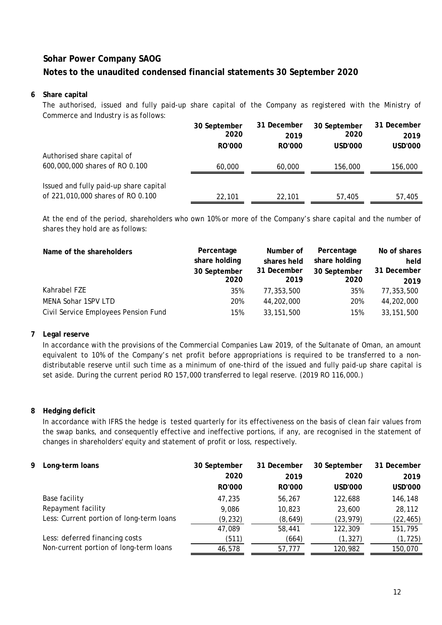### **6 Share capital**

The authorised, issued and fully paid-up share capital of the Company as registered with the Ministry of Commerce and Industry is as follows:

|                                        | 30 September | 31 December | 30 September | 31 December |
|----------------------------------------|--------------|-------------|--------------|-------------|
|                                        | 2020         | 2019        | 2020         | 2019        |
|                                        | RO'000       | RO'000      | USD'000      | USD'000     |
| Authorised share capital of            |              |             |              |             |
| 600,000,000 shares of RO 0.100         | 60,000       | 60,000      | 156,000      | 156,000     |
|                                        |              |             |              |             |
| Issued and fully paid-up share capital |              |             |              |             |
| of 221,010,000 shares of RO 0.100      | 22,101       | 22,101      | 57,405       | 57,405      |

At the end of the period, shareholders who own 10% or more of the Company's share capital and the number of shares they hold are as follows:

| Name of the shareholders             | Percentage<br>share holding<br>30 September<br>2020 | Number of<br>shares held<br>31 December<br>2019 | Percentage<br>share holding<br>30 September<br>2020 | No of shares<br>held<br>31 December<br>2019 |
|--------------------------------------|-----------------------------------------------------|-------------------------------------------------|-----------------------------------------------------|---------------------------------------------|
| Kahrabel FZE                         | 35%                                                 | 77,353,500                                      | 35%                                                 | 77,353,500                                  |
| MENA Sohar 1SPV LTD                  | 20%                                                 | 44,202,000                                      | 20%                                                 | 44,202,000                                  |
| Civil Service Employees Pension Fund | 15%                                                 | 33, 151, 500                                    | 15%                                                 | 33, 151, 500                                |

### **7 Legal reserve**

In accordance with the provisions of the Commercial Companies Law 2019, of the Sultanate of Oman, an amount equivalent to 10% of the Company's net profit before appropriations is required to be transferred to a nondistributable reserve until such time as a minimum of one-third of the issued and fully paid-up share capital is set aside. During the current period RO 157,000 transferred to legal reserve. (2019 RO 116,000.)

### **8 Hedging deficit**

In accordance with IFRS the hedge is tested quarterly for its effectiveness on the basis of clean fair values from the swap banks, and consequently effective and ineffective portions, if any, are recognised in the statement of changes in shareholders' equity and statement of profit or loss, respectively.

| 9. | Long-term loans                          | 30 September  | 31 December   | 30 September | 31 December |
|----|------------------------------------------|---------------|---------------|--------------|-------------|
|    |                                          | 2020          | 2019          | 2020         | 2019        |
|    |                                          | <b>RO'000</b> | <b>RO'000</b> | USD'000      | USD'000     |
|    | Base facility                            | 47.235        | 56.267        | 122,688      | 146,148     |
|    | Repayment facility                       | 9.086         | 10,823        | 23,600       | 28,112      |
|    | Less: Current portion of long-term loans | (9, 232)      | (8,649)       | (23, 979)    | (22, 465)   |
|    |                                          | 47,089        | 58,441        | 122,309      | 151,795     |
|    | Less: deferred financing costs           | (511)         | (664)         | (1, 327)     | (1, 725)    |
|    | Non-current portion of long-term loans   | 46,578        | 57,777        | 120,982      | 150,070     |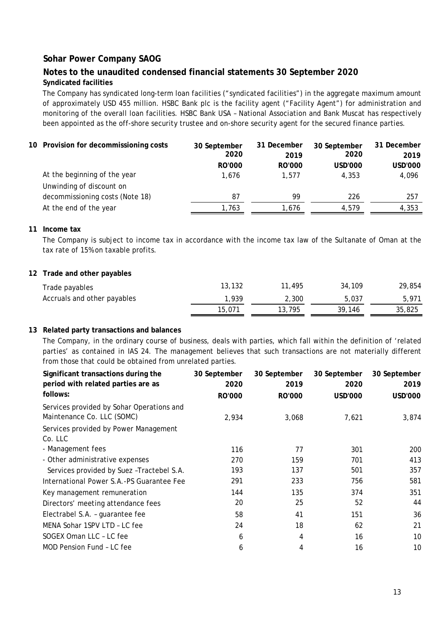### **Notes to the unaudited condensed financial statements 30 September 2020 Syndicated facilities**

The Company has syndicated long-term loan facilities ("syndicated facilities") in the aggregate maximum amount of approximately USD 455 million. HSBC Bank plc is the facility agent ("Facility Agent") for administration and monitoring of the overall loan facilities. HSBC Bank USA – National Association and Bank Muscat has respectively been appointed as the off-shore security trustee and on-shore security agent for the secured finance parties.

| 10 Provision for decommissioning costs | 30 September<br>2020 | 31 December<br>2019 | 30 September<br>2020 | 31 December<br>2019 |
|----------------------------------------|----------------------|---------------------|----------------------|---------------------|
|                                        | <b>RO'000</b>        | <b>RO'000</b>       | <b>USD'000</b>       | USD'000             |
| At the beginning of the year           | 1.676                | 1.577               | 4.353                | 4,096               |
| Unwinding of discount on               |                      |                     |                      |                     |
| decommissioning costs (Note 18)        | 87                   | 99                  | 226                  | 257                 |
| At the end of the year                 | 1,763                | 1.676               | 4.579                | 4,353               |

#### **11 Income tax**

The Company is subject to income tax in accordance with the income tax law of the Sultanate of Oman at the tax rate of 15% on taxable profits.

#### **12 Trade and other payables**

| Trade payables              | 13,132 | 11,495 | 34,109 | 29,854 |
|-----------------------------|--------|--------|--------|--------|
| Accruals and other payables | 1.939  | 2.300  | 5.037  | 5.971  |
|                             | 15,071 | 13,795 | 39.146 | 35,825 |

#### **13 Related party transactions and balances**

The Company, in the ordinary course of business, deals with parties, which fall within the definition of 'related parties' as contained in IAS 24. The management believes that such transactions are not materially different from those that could be obtained from unrelated parties.

| Significant transactions during the                                     | 30 September  | 30 September  | 30 September   | 30 September |
|-------------------------------------------------------------------------|---------------|---------------|----------------|--------------|
| period with related parties are as                                      | 2020          | 2019          | 2020           | 2019         |
| follows:                                                                | <b>RO'000</b> | <b>RO'000</b> | <b>USD'000</b> | USD'000      |
| Services provided by Sohar Operations and<br>Maintenance Co. LLC (SOMC) | 2,934         | 3,068         | 7,621          | 3,874        |
| Services provided by Power Management                                   |               |               |                |              |
| Co. LLC                                                                 |               |               |                |              |
| - Management fees                                                       | 116           | 77            | 301            | 200          |
| - Other administrative expenses                                         | 270           | 159           | 701            | 413          |
| Services provided by Suez - Tractebel S.A.                              | 193           | 137           | 501            | 357          |
| International Power S.A.-PS Guarantee Fee                               | 291           | 233           | 756            | 581          |
| Key management remuneration                                             | 144           | 135           | 374            | 351          |
| Directors' meeting attendance fees                                      | 20            | 25            | 52             | 44           |
| Electrabel S.A. - guarantee fee                                         | 58            | 41            | 151            | 36           |
| MENA Sohar 1SPV LTD - LC fee                                            | 24            | 18            | 62             | 21           |
| SOGEX Oman LLC - LC fee                                                 | 6             | 4             | 16             | 10           |
| MOD Pension Fund - LC fee                                               | 6             | 4             | 16             | 10           |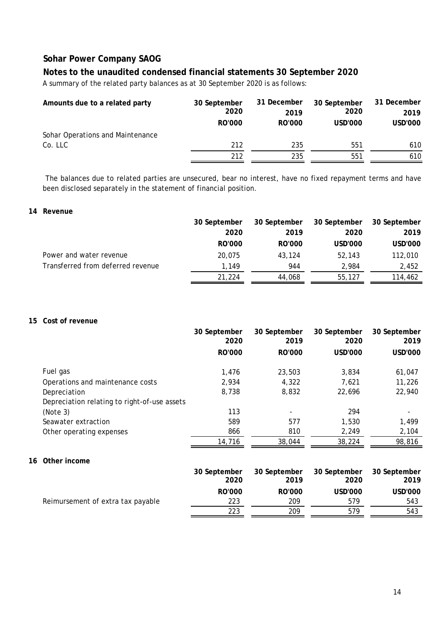### **Notes to the unaudited condensed financial statements 30 September 2020**

A summary of the related party balances as at 30 September 2020 is as follows:

| Amounts due to a related party   | 30 September  | 31 December | 30 September | 31 December |
|----------------------------------|---------------|-------------|--------------|-------------|
|                                  | 2020          | 2019        | 2020         | 2019        |
|                                  | <b>RO'000</b> | RO'000      | USD'000      | USD'000     |
| Sohar Operations and Maintenance |               |             |              |             |
| Co. LLC                          | 212           | 235         | 551          | 610         |
|                                  | 212           | 235         | 551          | 610         |

The balances due to related parties are unsecured, bear no interest, have no fixed repayment terms and have been disclosed separately in the statement of financial position.

### **14 Revenue**

|                                   | 30 September | 30 September | 30 September | 30 September |
|-----------------------------------|--------------|--------------|--------------|--------------|
|                                   | 2020         | 2019         | 2020         | 2019         |
|                                   | RO'000       | RO'000       | USD'000      | USD'000      |
| Power and water revenue           | 20.075       | 43.124       | 52,143       | 112,010      |
| Transferred from deferred revenue | 1,149        | 944          | 2.984        | 2,452        |
|                                   | 21,224       | 44,068       | 55,127       | 114,462      |

### **15 Cost of revenue**

|    |                                              | 30 September<br>2020 | 30 September<br>2019 | 30 September<br>2020 | 30 September<br>2019 |
|----|----------------------------------------------|----------------------|----------------------|----------------------|----------------------|
|    |                                              | RO'000               | <b>RO'000</b>        | <b>USD'000</b>       | USD'000              |
|    | Fuel gas                                     | 1,476                | 23,503               | 3,834                | 61,047               |
|    | Operations and maintenance costs             | 2,934                | 4,322                | 7,621                | 11,226               |
|    | Depreciation                                 | 8,738                | 8,832                | 22,696               | 22,940               |
|    | Depreciation relating to right-of-use assets |                      |                      |                      |                      |
|    | (Note 3)                                     | 113                  |                      | 294                  |                      |
|    | Seawater extraction                          | 589                  | 577                  | 1,530                | 1,499                |
|    | Other operating expenses                     | 866                  | 810                  | 2,249                | 2,104                |
|    |                                              | 14,716               | 38,044               | 38,224               | 98,816               |
| 16 | Other income                                 |                      |                      |                      |                      |
|    |                                              | 30 September<br>2020 | 30 September<br>2019 | 30 September<br>2020 | 30 September<br>2019 |
|    |                                              | <b>RO'000</b>        | <b>RO'000</b>        | <b>USD'000</b>       | <b>USD'000</b>       |
|    | Reimursement of extra tax payable            | 223                  | 209                  | 579                  | 543                  |
|    |                                              | 223                  | 209                  | 579                  | 543                  |
|    |                                              |                      |                      |                      |                      |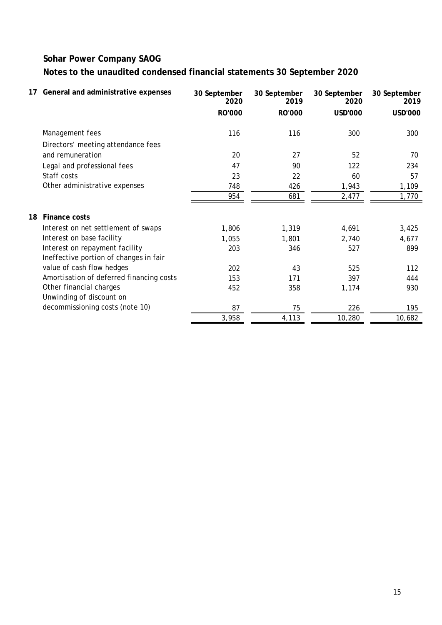| 17 | General and administrative expenses      | 30 September<br>2020 | 30 September<br>2019 | 30 September<br>2020 | 30 September<br>2019 |
|----|------------------------------------------|----------------------|----------------------|----------------------|----------------------|
|    |                                          | <b>RO'000</b>        | <b>RO'000</b>        | <b>USD'000</b>       | <b>USD'000</b>       |
|    | Management fees                          | 116                  | 116                  | 300                  | 300                  |
|    | Directors' meeting attendance fees       |                      |                      |                      |                      |
|    | and remuneration                         | 20                   | 27                   | 52                   | 70                   |
|    | Legal and professional fees              | 47                   | 90                   | 122                  | 234                  |
|    | Staff costs                              | 23                   | 22                   | 60                   | 57                   |
|    | Other administrative expenses            | 748                  | 426                  | 1,943                | 1,109                |
|    |                                          | 954                  | 681                  | 2,477                | 1,770                |
| 18 | Finance costs                            |                      |                      |                      |                      |
|    | Interest on net settlement of swaps      | 1,806                | 1,319                | 4,691                | 3,425                |
|    | Interest on base facility                | 1,055                | 1,801                | 2,740                | 4,677                |
|    | Interest on repayment facility           | 203                  | 346                  | 527                  | 899                  |
|    | Ineffective portion of changes in fair   |                      |                      |                      |                      |
|    | value of cash flow hedges                | 202                  | 43                   | 525                  | 112                  |
|    | Amortisation of deferred financing costs | 153                  | 171                  | 397                  | 444                  |
|    | Other financial charges                  | 452                  | 358                  | 1,174                | 930                  |
|    | Unwinding of discount on                 |                      |                      |                      |                      |
|    | decommissioning costs (note 10)          | 87                   | 75                   | 226                  | 195                  |
|    |                                          | 3,958                | 4,113                | 10,280               | 10,682               |